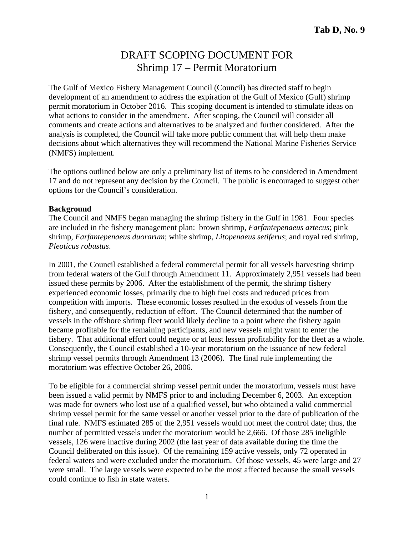# DRAFT SCOPING DOCUMENT FOR Shrimp 17 – Permit Moratorium

The Gulf of Mexico Fishery Management Council (Council) has directed staff to begin development of an amendment to address the expiration of the Gulf of Mexico (Gulf) shrimp permit moratorium in October 2016. This scoping document is intended to stimulate ideas on what actions to consider in the amendment. After scoping, the Council will consider all comments and create actions and alternatives to be analyzed and further considered. After the analysis is completed, the Council will take more public comment that will help them make decisions about which alternatives they will recommend the National Marine Fisheries Service (NMFS) implement.

The options outlined below are only a preliminary list of items to be considered in Amendment 17 and do not represent any decision by the Council. The public is encouraged to suggest other options for the Council's consideration.

#### **Background**

The Council and NMFS began managing the shrimp fishery in the Gulf in 1981. Four species are included in the fishery management plan: brown shrimp, *Farfantepenaeus aztecus*; pink shrimp, *Farfantepenaeus duorarum*; white shrimp, *Litopenaeus setiferus*; and royal red shrimp, *Pleoticus robustus*.

In 2001, the Council established a federal commercial permit for all vessels harvesting shrimp from federal waters of the Gulf through Amendment 11. Approximately 2,951 vessels had been issued these permits by 2006. After the establishment of the permit, the shrimp fishery experienced economic losses, primarily due to high fuel costs and reduced prices from competition with imports. These economic losses resulted in the exodus of vessels from the fishery, and consequently, reduction of effort. The Council determined that the number of vessels in the offshore shrimp fleet would likely decline to a point where the fishery again became profitable for the remaining participants, and new vessels might want to enter the fishery. That additional effort could negate or at least lessen profitability for the fleet as a whole. Consequently, the Council established a 10-year moratorium on the issuance of new federal shrimp vessel permits through Amendment 13 (2006). The final rule implementing the moratorium was effective October 26, 2006.

To be eligible for a commercial shrimp vessel permit under the moratorium, vessels must have been issued a valid permit by NMFS prior to and including December 6, 2003. An exception was made for owners who lost use of a qualified vessel, but who obtained a valid commercial shrimp vessel permit for the same vessel or another vessel prior to the date of publication of the final rule. NMFS estimated 285 of the 2,951 vessels would not meet the control date; thus, the number of permitted vessels under the moratorium would be 2,666. Of those 285 ineligible vessels, 126 were inactive during 2002 (the last year of data available during the time the Council deliberated on this issue). Of the remaining 159 active vessels, only 72 operated in federal waters and were excluded under the moratorium. Of those vessels, 45 were large and 27 were small. The large vessels were expected to be the most affected because the small vessels could continue to fish in state waters.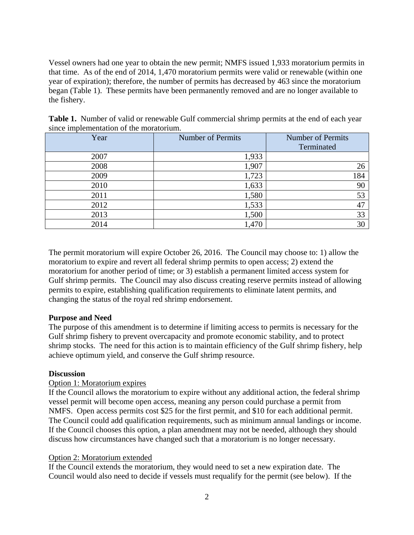Vessel owners had one year to obtain the new permit; NMFS issued 1,933 moratorium permits in that time. As of the end of 2014, 1,470 moratorium permits were valid or renewable (within one year of expiration); therefore, the number of permits has decreased by 463 since the moratorium began (Table 1). These permits have been permanently removed and are no longer available to the fishery.

| Year | <b>Number of Permits</b> | Number of Permits<br>Terminated |
|------|--------------------------|---------------------------------|
| 2007 | 1,933                    |                                 |
| 2008 | 1,907                    | 26                              |
| 2009 | 1,723                    | 184                             |
| 2010 | 1,633                    | 90                              |
| 2011 | 1,580                    | 53                              |
| 2012 | 1,533                    | 47                              |
| 2013 | 1,500                    | 33                              |
| 2014 | 1,470                    | 30                              |

**Table 1.** Number of valid or renewable Gulf commercial shrimp permits at the end of each year since implementation of the moratorium.

The permit moratorium will expire October 26, 2016. The Council may choose to: 1) allow the moratorium to expire and revert all federal shrimp permits to open access; 2) extend the moratorium for another period of time; or 3) establish a permanent limited access system for Gulf shrimp permits. The Council may also discuss creating reserve permits instead of allowing permits to expire, establishing qualification requirements to eliminate latent permits, and changing the status of the royal red shrimp endorsement.

# **Purpose and Need**

The purpose of this amendment is to determine if limiting access to permits is necessary for the Gulf shrimp fishery to prevent overcapacity and promote economic stability, and to protect shrimp stocks. The need for this action is to maintain efficiency of the Gulf shrimp fishery, help achieve optimum yield, and conserve the Gulf shrimp resource.

# **Discussion**

# Option 1: Moratorium expires

If the Council allows the moratorium to expire without any additional action, the federal shrimp vessel permit will become open access, meaning any person could purchase a permit from NMFS. Open access permits cost \$25 for the first permit, and \$10 for each additional permit. The Council could add qualification requirements, such as minimum annual landings or income. If the Council chooses this option, a plan amendment may not be needed, although they should discuss how circumstances have changed such that a moratorium is no longer necessary.

# Option 2: Moratorium extended

If the Council extends the moratorium, they would need to set a new expiration date. The Council would also need to decide if vessels must requalify for the permit (see below). If the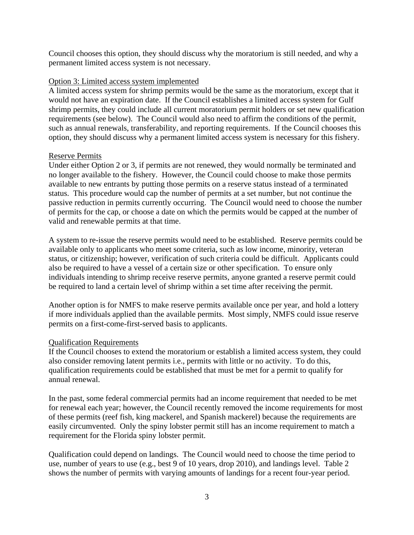Council chooses this option, they should discuss why the moratorium is still needed, and why a permanent limited access system is not necessary.

# Option 3: Limited access system implemented

A limited access system for shrimp permits would be the same as the moratorium, except that it would not have an expiration date. If the Council establishes a limited access system for Gulf shrimp permits, they could include all current moratorium permit holders or set new qualification requirements (see below). The Council would also need to affirm the conditions of the permit, such as annual renewals, transferability, and reporting requirements. If the Council chooses this option, they should discuss why a permanent limited access system is necessary for this fishery.

# Reserve Permits

Under either Option 2 or 3, if permits are not renewed, they would normally be terminated and no longer available to the fishery. However, the Council could choose to make those permits available to new entrants by putting those permits on a reserve status instead of a terminated status. This procedure would cap the number of permits at a set number, but not continue the passive reduction in permits currently occurring. The Council would need to choose the number of permits for the cap, or choose a date on which the permits would be capped at the number of valid and renewable permits at that time.

A system to re-issue the reserve permits would need to be established. Reserve permits could be available only to applicants who meet some criteria, such as low income, minority, veteran status, or citizenship; however, verification of such criteria could be difficult. Applicants could also be required to have a vessel of a certain size or other specification. To ensure only individuals intending to shrimp receive reserve permits, anyone granted a reserve permit could be required to land a certain level of shrimp within a set time after receiving the permit.

Another option is for NMFS to make reserve permits available once per year, and hold a lottery if more individuals applied than the available permits. Most simply, NMFS could issue reserve permits on a first-come-first-served basis to applicants.

# Qualification Requirements

If the Council chooses to extend the moratorium or establish a limited access system, they could also consider removing latent permits i.e., permits with little or no activity. To do this, qualification requirements could be established that must be met for a permit to qualify for annual renewal.

In the past, some federal commercial permits had an income requirement that needed to be met for renewal each year; however, the Council recently removed the income requirements for most of these permits (reef fish, king mackerel, and Spanish mackerel) because the requirements are easily circumvented. Only the spiny lobster permit still has an income requirement to match a requirement for the Florida spiny lobster permit.

Qualification could depend on landings. The Council would need to choose the time period to use, number of years to use (e.g., best 9 of 10 years, drop 2010), and landings level. Table 2 shows the number of permits with varying amounts of landings for a recent four-year period.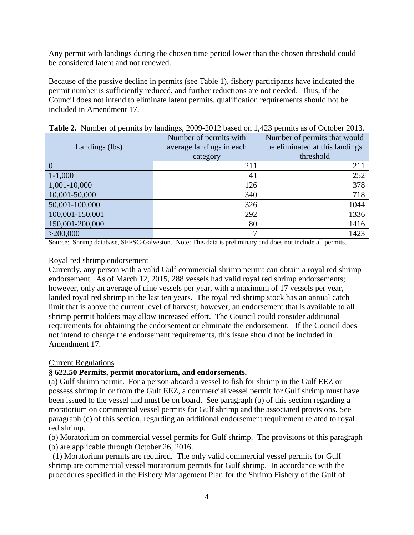Any permit with landings during the chosen time period lower than the chosen threshold could be considered latent and not renewed.

Because of the passive decline in permits (see Table 1), fishery participants have indicated the permit number is sufficiently reduced, and further reductions are not needed. Thus, if the Council does not intend to eliminate latent permits, qualification requirements should not be included in Amendment 17.

|                 | Number of permits with   | Number of permits that would   |  |
|-----------------|--------------------------|--------------------------------|--|
| Landings (lbs)  | average landings in each | be eliminated at this landings |  |
|                 | category                 | threshold                      |  |
| $\Omega$        | 211                      | 211                            |  |
| $1 - 1,000$     | 41                       | 252                            |  |
| 1,001-10,000    | 126                      | 378                            |  |
| 10,001-50,000   | 340                      | 718                            |  |
| 50,001-100,000  | 326                      | 1044                           |  |
| 100,001-150,001 | 292                      | 1336                           |  |
| 150,001-200,000 | 80                       | 1416                           |  |
| >200,000        | ⇁                        | 1423                           |  |

**Table 2.** Number of permits by landings, 2009-2012 based on 1,423 permits as of October 2013.

Source: Shrimp database, SEFSC-Galveston. Note: This data is preliminary and does not include all permits.

#### Royal red shrimp endorsement

Currently, any person with a valid Gulf commercial shrimp permit can obtain a royal red shrimp endorsement. As of March 12, 2015, 288 vessels had valid royal red shrimp endorsements; however, only an average of nine vessels per year, with a maximum of 17 vessels per year, landed royal red shrimp in the last ten years. The royal red shrimp stock has an annual catch limit that is above the current level of harvest; however, an endorsement that is available to all shrimp permit holders may allow increased effort. The Council could consider additional requirements for obtaining the endorsement or eliminate the endorsement. If the Council does not intend to change the endorsement requirements, this issue should not be included in Amendment 17.

# Current Regulations

# **§ 622.50 Permits, permit moratorium, and endorsements.**

(a) Gulf shrimp permit. For a person aboard a vessel to fish for shrimp in the Gulf EEZ or possess shrimp in or from the Gulf EEZ, a commercial vessel permit for Gulf shrimp must have been issued to the vessel and must be on board. See paragraph (b) of this section regarding a moratorium on commercial vessel permits for Gulf shrimp and the associated provisions. See paragraph (c) of this section, regarding an additional endorsement requirement related to royal red shrimp.

(b) Moratorium on commercial vessel permits for Gulf shrimp. The provisions of this paragraph (b) are applicable through October 26, 2016.

 (1) Moratorium permits are required. The only valid commercial vessel permits for Gulf shrimp are commercial vessel moratorium permits for Gulf shrimp. In accordance with the procedures specified in the Fishery Management Plan for the Shrimp Fishery of the Gulf of